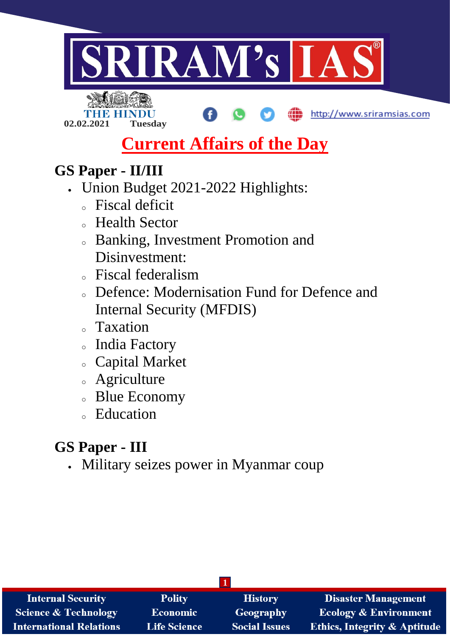

- <sup>o</sup> Defence: Modernisation Fund for Defence and Internal Security (MFDIS)
- <sup>o</sup> Taxation
- <sup>o</sup> India Factory
- <sup>o</sup> Capital Market
- <sup>o</sup> Agriculture
- <sup>o</sup> Blue Economy
- <sup>o</sup> Education

# **GS Paper - III**

Military seizes power in Myanmar coup

| <b>Internal Security</b>        | <b>Polity</b>       | <b>History</b>       | <b>Disaster Management</b>              |
|---------------------------------|---------------------|----------------------|-----------------------------------------|
| <b>Science &amp; Technology</b> | <b>Economic</b>     | Geography            | Ecology & Environment                   |
| <b>International Relations</b>  | <b>Life Science</b> | <b>Social Issues</b> | <b>Ethics, Integrity &amp; Aptitude</b> |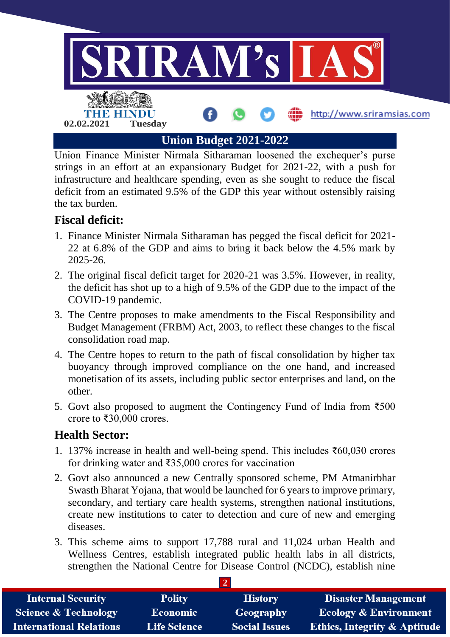

Union Finance Minister Nirmala Sitharaman loosened the exchequer's purse strings in an effort at an expansionary Budget for 2021-22, with a push for infrastructure and healthcare spending, even as she sought to reduce the fiscal deficit from an estimated 9.5% of the GDP this year without ostensibly raising the tax burden.

# **Fiscal deficit:**

- 1. Finance Minister Nirmala Sitharaman has pegged the fiscal deficit for 2021- 22 at 6.8% of the GDP and aims to bring it back below the 4.5% mark by 2025-26.
- 2. The original fiscal deficit target for 2020-21 was 3.5%. However, in reality, the deficit has shot up to a high of 9.5% of the GDP due to the impact of the COVID-19 pandemic.
- 3. The Centre proposes to make amendments to the Fiscal Responsibility and Budget Management (FRBM) Act, 2003, to reflect these changes to the fiscal consolidation road map.
- 4. The Centre hopes to return to the path of fiscal consolidation by higher tax buoyancy through improved compliance on the one hand, and increased monetisation of its assets, including public sector enterprises and land, on the other.
- 5. Govt also proposed to augment the Contingency Fund of India from ₹500 crore to ₹30,000 crores.

# **Health Sector:**

- 1. 137% increase in health and well-being spend. This includes ₹60,030 crores for drinking water and ₹35,000 crores for vaccination
- 2. Govt also announced a new Centrally sponsored scheme, PM Atmanirbhar Swasth Bharat Yojana, that would be launched for 6 years to improve primary, secondary, and tertiary care health systems, strengthen national institutions, create new institutions to cater to detection and cure of new and emerging diseases.
- 3. This scheme aims to support 17,788 rural and 11,024 urban Health and Wellness Centres, establish integrated public health labs in all districts, strengthen the National Centre for Disease Control (NCDC), establish nine

| <b>Internal Security</b>        | <b>Polity</b>       | <b>History</b>       | <b>Disaster Management</b>              |
|---------------------------------|---------------------|----------------------|-----------------------------------------|
| <b>Science &amp; Technology</b> | <b>Economic</b>     | <b>Geography</b>     | <b>Ecology &amp; Environment</b>        |
| <b>International Relations</b>  | <b>Life Science</b> | <b>Social Issues</b> | <b>Ethics, Integrity &amp; Aptitude</b> |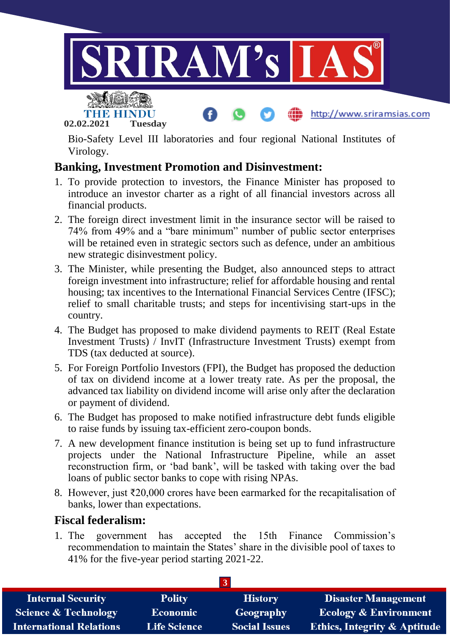



**02.02.2021 Tuesday**

Bio-Safety Level III laboratories and four regional National Institutes of Virology.

http://www.sriramsias.com

# **Banking, Investment Promotion and Disinvestment:**

- 1. To provide protection to investors, the Finance Minister has proposed to introduce an investor charter as a right of all financial investors across all financial products.
- 2. The foreign direct investment limit in the insurance sector will be raised to 74% from 49% and a "bare minimum" number of public sector enterprises will be retained even in strategic sectors such as defence, under an ambitious new strategic disinvestment policy.
- 3. The Minister, while presenting the Budget, also announced steps to attract foreign investment into infrastructure; relief for affordable housing and rental housing; tax incentives to the International Financial Services Centre (IFSC); relief to small charitable trusts; and steps for incentivising start-ups in the country.
- 4. The Budget has proposed to make dividend payments to REIT (Real Estate Investment Trusts) / InvIT (Infrastructure Investment Trusts) exempt from TDS (tax deducted at source).
- 5. For Foreign Portfolio Investors (FPI), the Budget has proposed the deduction of tax on dividend income at a lower treaty rate. As per the proposal, the advanced tax liability on dividend income will arise only after the declaration or payment of dividend.
- 6. The Budget has proposed to make notified infrastructure debt funds eligible to raise funds by issuing tax-efficient zero-coupon bonds.
- 7. A new development finance institution is being set up to fund infrastructure projects under the National Infrastructure Pipeline, while an asset reconstruction firm, or 'bad bank', will be tasked with taking over the bad loans of public sector banks to cope with rising NPAs.
- 8. However, just ₹20,000 crores have been earmarked for the recapitalisation of banks, lower than expectations.

## **Fiscal federalism:**

1. The government has accepted the 15th Finance Commission's recommendation to maintain the States' share in the divisible pool of taxes to 41% for the five-year period starting 2021-22.

| <b>Internal Security</b>        | <b>Polity</b>       | <b>History</b>       | <b>Disaster Management</b>              |
|---------------------------------|---------------------|----------------------|-----------------------------------------|
| <b>Science &amp; Technology</b> | <b>Economic</b>     | Geography            | <b>Ecology &amp; Environment</b>        |
| <b>International Relations</b>  | <b>Life Science</b> | <b>Social Issues</b> | <b>Ethics, Integrity &amp; Aptitude</b> |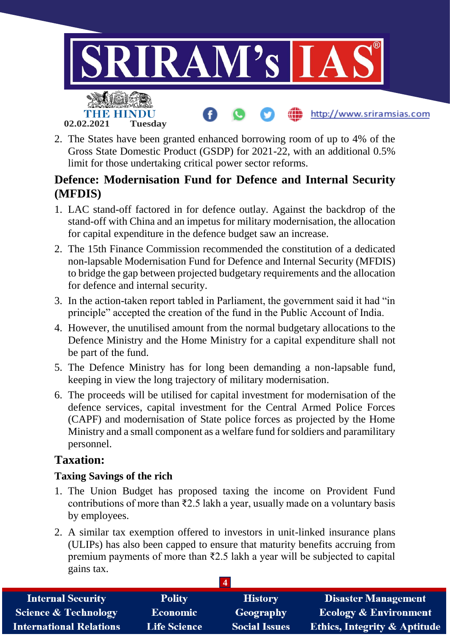

2. The States have been granted enhanced borrowing room of up to 4% of the Gross State Domestic Product (GSDP) for 2021-22, with an additional 0.5% limit for those undertaking critical power sector reforms.

# **Defence: Modernisation Fund for Defence and Internal Security (MFDIS)**

- 1. LAC stand-off factored in for defence outlay. Against the backdrop of the stand-off with China and an impetus for military modernisation, the allocation for capital expenditure in the defence budget saw an increase.
- 2. The 15th Finance Commission recommended the constitution of a dedicated non-lapsable Modernisation Fund for Defence and Internal Security (MFDIS) to bridge the gap between projected budgetary requirements and the allocation for defence and internal security.
- 3. In the action-taken report tabled in Parliament, the government said it had "in principle" accepted the creation of the fund in the Public Account of India.
- 4. However, the unutilised amount from the normal budgetary allocations to the Defence Ministry and the Home Ministry for a capital expenditure shall not be part of the fund.
- 5. The Defence Ministry has for long been demanding a non-lapsable fund, keeping in view the long trajectory of military modernisation.
- 6. The proceeds will be utilised for capital investment for modernisation of the defence services, capital investment for the Central Armed Police Forces (CAPF) and modernisation of State police forces as projected by the Home Ministry and a small component as a welfare fund for soldiers and paramilitary personnel.

# **Taxation:**

### **Taxing Savings of the rich**

- 1. The Union Budget has proposed taxing the income on Provident Fund contributions of more than ₹2.5 lakh a year, usually made on a voluntary basis by employees.
- 2. A similar tax exemption offered to investors in unit-linked insurance plans (ULIPs) has also been capped to ensure that maturity benefits accruing from premium payments of more than ₹2.5 lakh a year will be subjected to capital gains tax.

| <b>Internal Security</b>        | <b>Polity</b>       | <b>History</b>       | <b>Disaster Management</b>              |
|---------------------------------|---------------------|----------------------|-----------------------------------------|
| <b>Science &amp; Technology</b> | Economic            | Geography            | <b>Ecology &amp; Environment</b>        |
| <b>International Relations</b>  | <b>Life Science</b> | <b>Social Issues</b> | <b>Ethics, Integrity &amp; Aptitude</b> |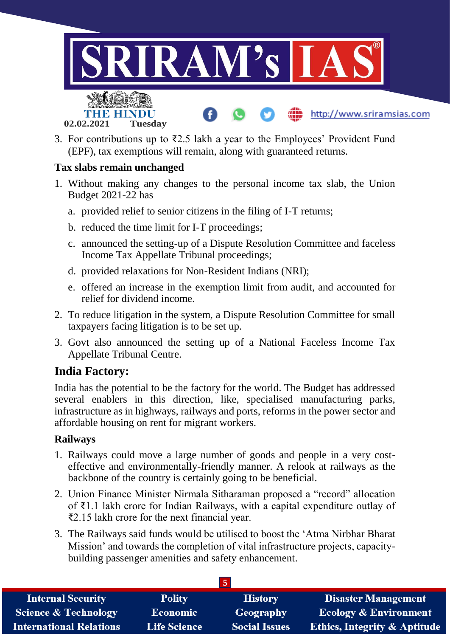

3. For contributions up to ₹2.5 lakh a year to the Employees' Provident Fund (EPF), tax exemptions will remain, along with guaranteed returns.

#### **Tax slabs remain unchanged**

- 1. Without making any changes to the personal income tax slab, the Union Budget 2021-22 has
	- a. provided relief to senior citizens in the filing of I-T returns;
	- b. reduced the time limit for I-T proceedings;
	- c. announced the setting-up of a Dispute Resolution Committee and faceless Income Tax Appellate Tribunal proceedings;
	- d. provided relaxations for Non-Resident Indians (NRI);
	- e. offered an increase in the exemption limit from audit, and accounted for relief for dividend income.
- 2. To reduce litigation in the system, a Dispute Resolution Committee for small taxpayers facing litigation is to be set up.
- 3. Govt also announced the setting up of a National Faceless Income Tax Appellate Tribunal Centre.

## **India Factory:**

India has the potential to be the factory for the world. The Budget has addressed several enablers in this direction, like, specialised manufacturing parks, infrastructure as in highways, railways and ports, reforms in the power sector and affordable housing on rent for migrant workers.

#### **Railways**

- 1. Railways could move a large number of goods and people in a very costeffective and environmentally-friendly manner. A relook at railways as the backbone of the country is certainly going to be beneficial.
- 2. Union Finance Minister Nirmala Sitharaman proposed a "record" allocation of ₹1.1 lakh crore for Indian Railways, with a capital expenditure outlay of ₹2.15 lakh crore for the next financial year.
- 3. The Railways said funds would be utilised to boost the 'Atma Nirbhar Bharat Mission' and towards the completion of vital infrastructure projects, capacitybuilding passenger amenities and safety enhancement.

| <b>Internal Security</b>        | <b>Polity</b>       | <b>History</b>       | <b>Disaster Management</b>              |
|---------------------------------|---------------------|----------------------|-----------------------------------------|
| <b>Science &amp; Technology</b> | <b>Economic</b>     | Geography            | <b>Ecology &amp; Environment</b>        |
| <b>International Relations</b>  | <b>Life Science</b> | <b>Social Issues</b> | <b>Ethics, Integrity &amp; Aptitude</b> |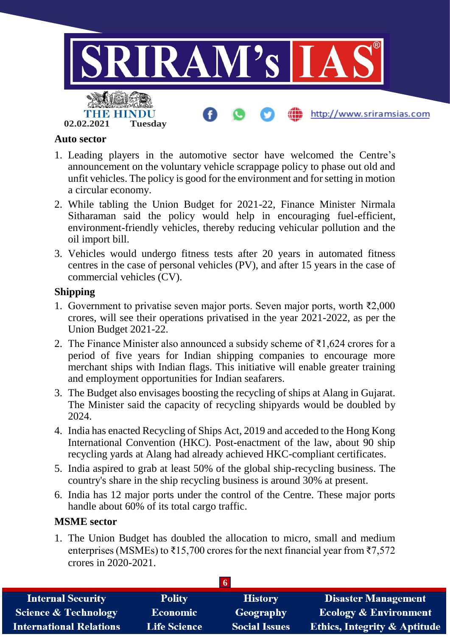

#### **Auto sector**

- 1. Leading players in the automotive sector have welcomed the Centre's announcement on the voluntary vehicle scrappage policy to phase out old and unfit vehicles. The policy is good for the environment and for setting in motion a circular economy.
- 2. While tabling the Union Budget for 2021-22, Finance Minister Nirmala Sitharaman said the policy would help in encouraging fuel-efficient, environment-friendly vehicles, thereby reducing vehicular pollution and the oil import bill.
- 3. Vehicles would undergo fitness tests after 20 years in automated fitness centres in the case of personal vehicles (PV), and after 15 years in the case of commercial vehicles (CV).

#### **Shipping**

- 1. Government to privatise seven major ports. Seven major ports, worth ₹2,000 crores, will see their operations privatised in the year 2021-2022, as per the Union Budget 2021-22.
- 2. The Finance Minister also announced a subsidy scheme of ₹1,624 crores for a period of five years for Indian shipping companies to encourage more merchant ships with Indian flags. This initiative will enable greater training and employment opportunities for Indian seafarers.
- 3. The Budget also envisages boosting the recycling of ships at Alang in Gujarat. The Minister said the capacity of recycling shipyards would be doubled by 2024.
- 4. India has enacted Recycling of Ships Act, 2019 and acceded to the Hong Kong International Convention (HKC). Post-enactment of the law, about 90 ship recycling yards at Alang had already achieved HKC-compliant certificates.
- 5. India aspired to grab at least 50% of the global ship-recycling business. The country's share in the ship recycling business is around 30% at present.
- 6. India has 12 major ports under the control of the Centre. These major ports handle about 60% of its total cargo traffic.

#### **MSME sector**

1. The Union Budget has doubled the allocation to micro, small and medium enterprises (MSMEs) to  $\overline{\xi}$ 15,700 crores for the next financial year from  $\overline{\xi}$ 7,572 crores in 2020-2021.

| <b>Internal Security</b>        | <b>Polity</b>       | <b>History</b>       | <b>Disaster Management</b>              |
|---------------------------------|---------------------|----------------------|-----------------------------------------|
| <b>Science &amp; Technology</b> | <b>Economic</b>     | Geography            | <b>Ecology &amp; Environment</b>        |
| <b>International Relations</b>  | <b>Life Science</b> | <b>Social Issues</b> | <b>Ethics, Integrity &amp; Aptitude</b> |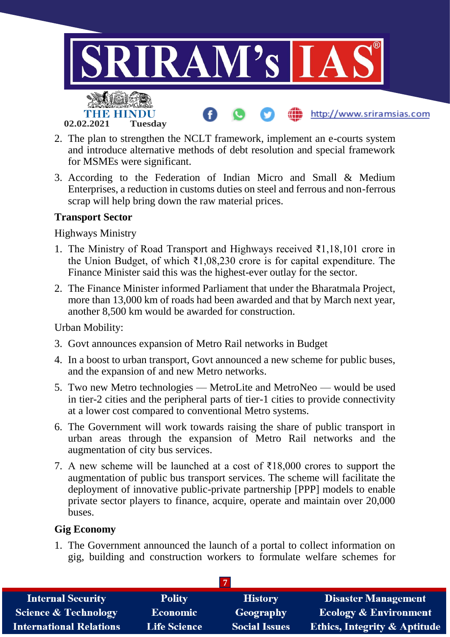

- 2. The plan to strengthen the NCLT framework, implement an e-courts system and introduce alternative methods of debt resolution and special framework for MSMEs were significant.
- 3. According to the Federation of Indian Micro and Small & Medium Enterprises, a reduction in customs duties on steel and ferrous and non-ferrous scrap will help bring down the raw material prices.

#### **Transport Sector**

Highways Ministry

- 1. The Ministry of Road Transport and Highways received ₹1,18,101 crore in the Union Budget, of which ₹1,08,230 crore is for capital expenditure. The Finance Minister said this was the highest-ever outlay for the sector.
- 2. The Finance Minister informed Parliament that under the Bharatmala Project, more than 13,000 km of roads had been awarded and that by March next year, another 8,500 km would be awarded for construction.

Urban Mobility:

- 3. Govt announces expansion of Metro Rail networks in Budget
- 4. In a boost to urban transport, Govt announced a new scheme for public buses, and the expansion of and new Metro networks.
- 5. Two new Metro technologies MetroLite and MetroNeo would be used in tier-2 cities and the peripheral parts of tier-1 cities to provide connectivity at a lower cost compared to conventional Metro systems.
- 6. The Government will work towards raising the share of public transport in urban areas through the expansion of Metro Rail networks and the augmentation of city bus services.
- 7. A new scheme will be launched at a cost of  $\bar{\tau}18,000$  crores to support the augmentation of public bus transport services. The scheme will facilitate the deployment of innovative public-private partnership [PPP] models to enable private sector players to finance, acquire, operate and maintain over 20,000 buses.

#### **Gig Economy**

1. The Government announced the launch of a portal to collect information on gig, building and construction workers to formulate welfare schemes for

| <b>Internal Security</b>        | <b>Polity</b>       | <b>History</b>       | <b>Disaster Management</b>              |
|---------------------------------|---------------------|----------------------|-----------------------------------------|
| <b>Science &amp; Technology</b> | <b>Economic</b>     | Geography            | <b>Ecology &amp; Environment</b>        |
| <b>International Relations</b>  | <b>Life Science</b> | <b>Social Issues</b> | <b>Ethics, Integrity &amp; Aptitude</b> |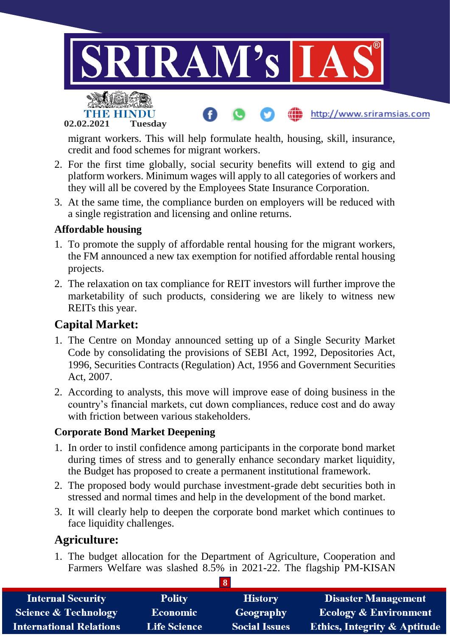

migrant workers. This will help formulate health, housing, skill, insurance, credit and food schemes for migrant workers.

- 2. For the first time globally, social security benefits will extend to gig and platform workers. Minimum wages will apply to all categories of workers and they will all be covered by the Employees State Insurance Corporation.
- 3. At the same time, the compliance burden on employers will be reduced with a single registration and licensing and online returns.

#### **Affordable housing**

**02.02.2021 Tuesday**

- 1. To promote the supply of affordable rental housing for the migrant workers, the FM announced a new tax exemption for notified affordable rental housing projects.
- 2. The relaxation on tax compliance for REIT investors will further improve the marketability of such products, considering we are likely to witness new REITs this year.

# **Capital Market:**

- 1. The Centre on Monday announced setting up of a Single Security Market Code by consolidating the provisions of SEBI Act, 1992, Depositories Act, 1996, Securities Contracts (Regulation) Act, 1956 and Government Securities Act, 2007.
- 2. According to analysts, this move will improve ease of doing business in the country's financial markets, cut down compliances, reduce cost and do away with friction between various stakeholders.

#### **Corporate Bond Market Deepening**

- 1. In order to instil confidence among participants in the corporate bond market during times of stress and to generally enhance secondary market liquidity, the Budget has proposed to create a permanent institutional framework.
- 2. The proposed body would purchase investment-grade debt securities both in stressed and normal times and help in the development of the bond market.
- 3. It will clearly help to deepen the corporate bond market which continues to face liquidity challenges.

## **Agriculture:**

1. The budget allocation for the Department of Agriculture, Cooperation and Farmers Welfare was slashed 8.5% in 2021-22. The flagship PM-KISAN

| <b>Internal Security</b>        | <b>Polity</b>       | <b>History</b>       | <b>Disaster Management</b>              |
|---------------------------------|---------------------|----------------------|-----------------------------------------|
| <b>Science &amp; Technology</b> | Economic            | Geography            | <b>Ecology &amp; Environment</b>        |
| <b>International Relations</b>  | <b>Life Science</b> | <b>Social Issues</b> | <b>Ethics, Integrity &amp; Aptitude</b> |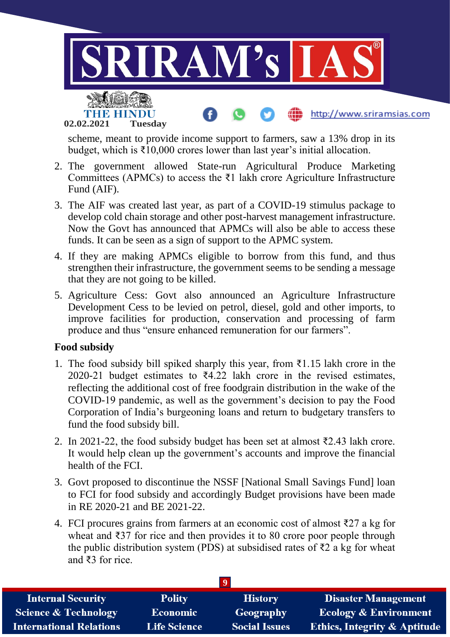

scheme, meant to provide income support to farmers, saw a 13% drop in its budget, which is ₹10,000 crores lower than last year's initial allocation.

- 2. The government allowed State-run Agricultural Produce Marketing Committees (APMCs) to access the  $\overline{z}1$  lakh crore Agriculture Infrastructure Fund (AIF).
- 3. The AIF was created last year, as part of a COVID-19 stimulus package to develop cold chain storage and other post-harvest management infrastructure. Now the Govt has announced that APMCs will also be able to access these funds. It can be seen as a sign of support to the APMC system.
- 4. If they are making APMCs eligible to borrow from this fund, and thus strengthen their infrastructure, the government seems to be sending a message that they are not going to be killed.
- 5. Agriculture Cess: Govt also announced an Agriculture Infrastructure Development Cess to be levied on petrol, diesel, gold and other imports, to improve facilities for production, conservation and processing of farm produce and thus "ensure enhanced remuneration for our farmers".

#### **Food subsidy**

- 1. The food subsidy bill spiked sharply this year, from ₹1.15 lakh crore in the 2020-21 budget estimates to  $\overline{6}4.22$  lakh crore in the revised estimates, reflecting the additional cost of free foodgrain distribution in the wake of the COVID-19 pandemic, as well as the government's decision to pay the Food Corporation of India's burgeoning loans and return to budgetary transfers to fund the food subsidy bill.
- 2. In 2021-22, the food subsidy budget has been set at almost ₹2.43 lakh crore. It would help clean up the government's accounts and improve the financial health of the FCI.
- 3. Govt proposed to discontinue the NSSF [National Small Savings Fund] loan to FCI for food subsidy and accordingly Budget provisions have been made in RE 2020-21 and BE 2021-22.
- 4. FCI procures grains from farmers at an economic cost of almost ₹27 a kg for wheat and ₹37 for rice and then provides it to 80 crore poor people through the public distribution system (PDS) at subsidised rates of  $\overline{z}2$  a kg for wheat and ₹3 for rice.

| <b>Internal Security</b>        | <b>Polity</b>       | <b>History</b>       | <b>Disaster Management</b>              |
|---------------------------------|---------------------|----------------------|-----------------------------------------|
| <b>Science &amp; Technology</b> | <b>Economic</b>     | Geography            | <b>Ecology &amp; Environment</b>        |
| <b>International Relations</b>  | <b>Life Science</b> | <b>Social Issues</b> | <b>Ethics, Integrity &amp; Aptitude</b> |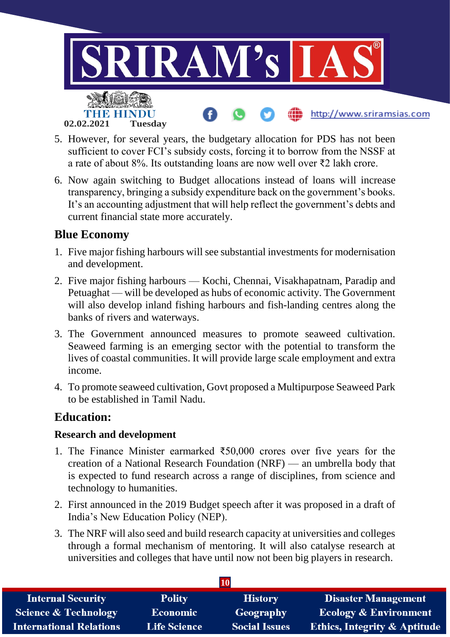

- 5. However, for several years, the budgetary allocation for PDS has not been sufficient to cover FCI's subsidy costs, forcing it to borrow from the NSSF at a rate of about 8%. Its outstanding loans are now well over ₹2 lakh crore.
- 6. Now again switching to Budget allocations instead of loans will increase transparency, bringing a subsidy expenditure back on the government's books. It's an accounting adjustment that will help reflect the government's debts and current financial state more accurately.

## **Blue Economy**

- 1. Five major fishing harbours will see substantial investments for modernisation and development.
- 2. Five major fishing harbours Kochi, Chennai, Visakhapatnam, Paradip and Petuaghat — will be developed as hubs of economic activity. The Government will also develop inland fishing harbours and fish-landing centres along the banks of rivers and waterways.
- 3. The Government announced measures to promote seaweed cultivation. Seaweed farming is an emerging sector with the potential to transform the lives of coastal communities. It will provide large scale employment and extra income.
- 4. To promote seaweed cultivation, Govt proposed a Multipurpose Seaweed Park to be established in Tamil Nadu.

## **Education:**

#### **Research and development**

- 1. The Finance Minister earmarked ₹50,000 crores over five years for the creation of a National Research Foundation (NRF) — an umbrella body that is expected to fund research across a range of disciplines, from science and technology to humanities.
- 2. First announced in the 2019 Budget speech after it was proposed in a draft of India's New Education Policy (NEP).
- 3. The NRF will also seed and build research capacity at universities and colleges through a formal mechanism of mentoring. It will also catalyse research at universities and colleges that have until now not been big players in research.

| 10                              |                     |                      |                                         |
|---------------------------------|---------------------|----------------------|-----------------------------------------|
| <b>Internal Security</b>        | <b>Polity</b>       | <b>History</b>       | <b>Disaster Management</b>              |
| <b>Science &amp; Technology</b> | <b>Economic</b>     | Geography            | <b>Ecology &amp; Environment</b>        |
| <b>International Relations</b>  | <b>Life Science</b> | <b>Social Issues</b> | <b>Ethics, Integrity &amp; Aptitude</b> |